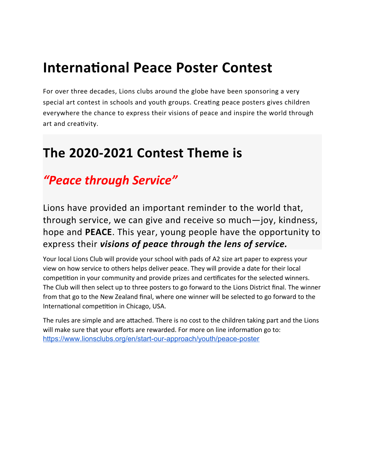# **International Peace Poster Contest**

For over three decades, Lions clubs around the globe have been sponsoring a very special art contest in schools and youth groups. Creating peace posters gives children everywhere the chance to express their visions of peace and inspire the world through art and creativity.

## **The 2020-2021 Contest Theme is**

### *"Peace through Service"*

Lions have provided an important reminder to the world that, through service, we can give and receive so much—joy, kindness, hope and **PEACE**. This year, young people have the opportunity to express their *visions of peace through the lens of service.*

Your local Lions Club will provide your school with pads of A2 size art paper to express your view on how service to others helps deliver peace. They will provide a date for their local competition in your community and provide prizes and certificates for the selected winners. The Club will then select up to three posters to go forward to the Lions District final. The winner from that go to the New Zealand final, where one winner will be selected to go forward to the International competition in Chicago, USA.

The rules are simple and are attached. There is no cost to the children taking part and the Lions will make sure that your efforts are rewarded. For more on line information go to: <https://www.lionsclubs.org/en/start-our-approach/youth/peace-poster>